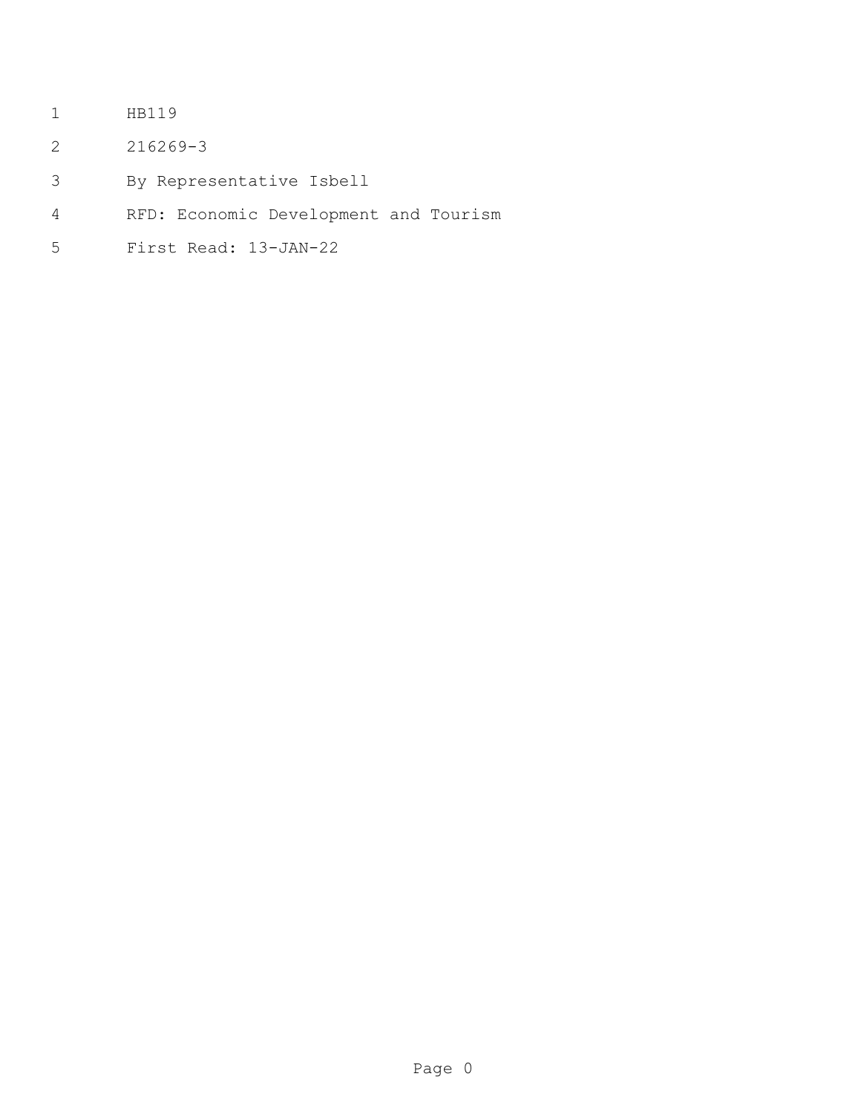- HB119
- 216269-3
- By Representative Isbell
- RFD: Economic Development and Tourism
- First Read: 13-JAN-22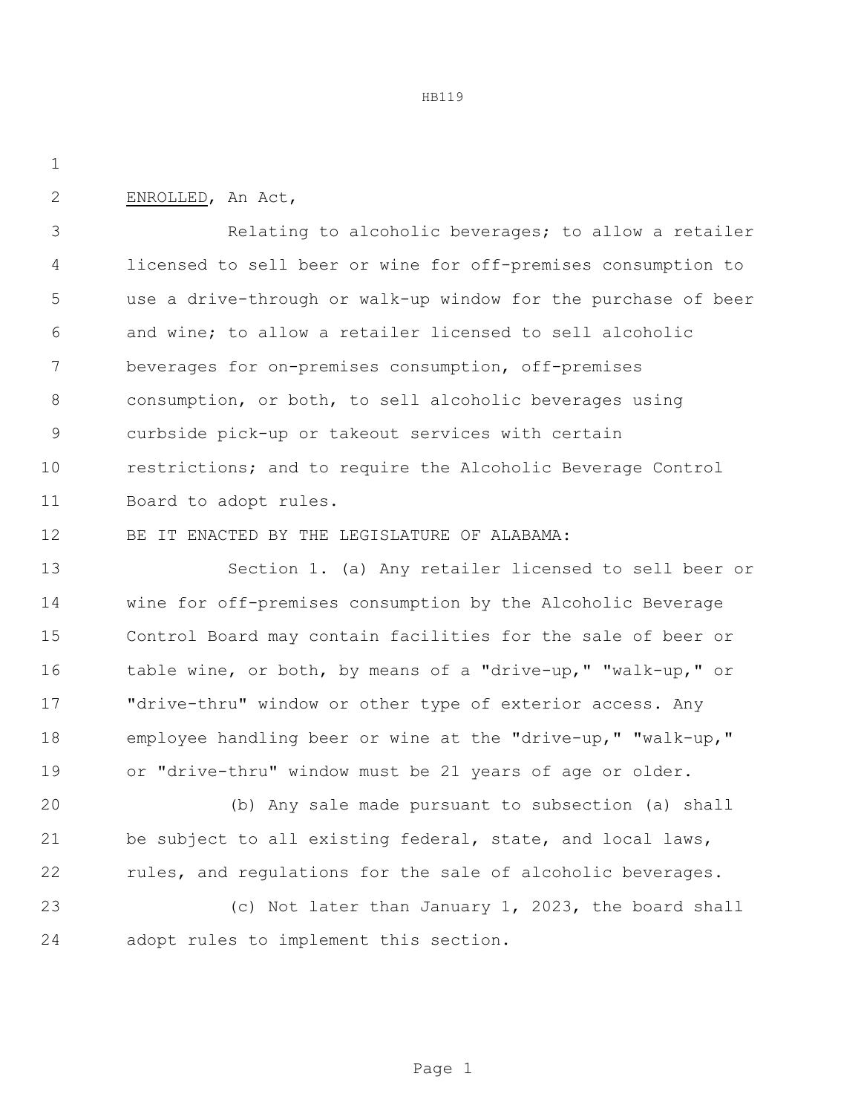HB119

ENROLLED, An Act,

 Relating to alcoholic beverages; to allow a retailer licensed to sell beer or wine for off-premises consumption to use a drive-through or walk-up window for the purchase of beer and wine; to allow a retailer licensed to sell alcoholic beverages for on-premises consumption, off-premises consumption, or both, to sell alcoholic beverages using curbside pick-up or takeout services with certain restrictions; and to require the Alcoholic Beverage Control Board to adopt rules.

BE IT ENACTED BY THE LEGISLATURE OF ALABAMA:

 Section 1. (a) Any retailer licensed to sell beer or wine for off-premises consumption by the Alcoholic Beverage Control Board may contain facilities for the sale of beer or table wine, or both, by means of a "drive-up," "walk-up," or "drive-thru" window or other type of exterior access. Any employee handling beer or wine at the "drive-up," "walk-up," or "drive-thru" window must be 21 years of age or older.

 (b) Any sale made pursuant to subsection (a) shall be subject to all existing federal, state, and local laws, 22 rules, and regulations for the sale of alcoholic beverages.

 (c) Not later than January 1, 2023, the board shall adopt rules to implement this section.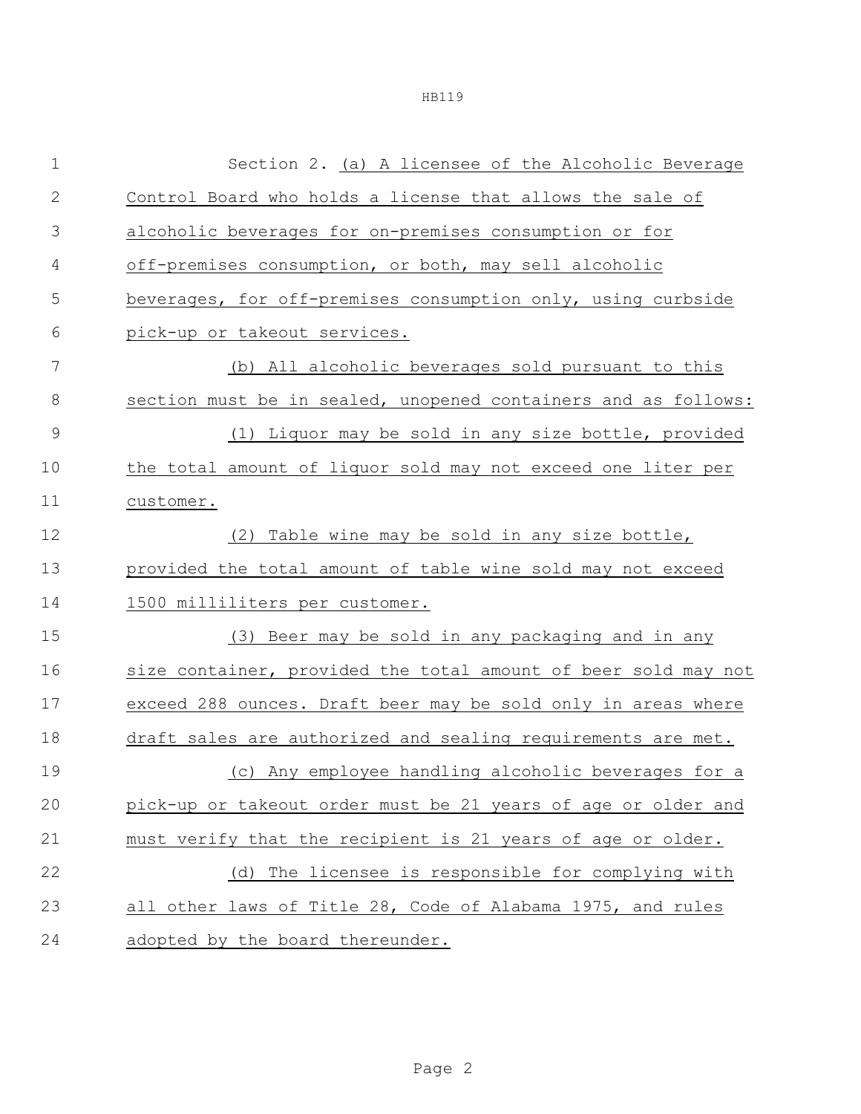HB119

| $1\,$        | Section 2. (a) A licensee of the Alcoholic Beverage            |  |  |
|--------------|----------------------------------------------------------------|--|--|
| $\mathbf{2}$ | Control Board who holds a license that allows the sale of      |  |  |
| 3            | alcoholic beverages for on-premises consumption or for         |  |  |
| 4            | off-premises consumption, or both, may sell alcoholic          |  |  |
| 5            | beverages, for off-premises consumption only, using curbside   |  |  |
| 6            | pick-up or takeout services.                                   |  |  |
| 7            | (b) All alcoholic beverages sold pursuant to this              |  |  |
| 8            | section must be in sealed, unopened containers and as follows: |  |  |
| $\mathsf 9$  | (1) Liquor may be sold in any size bottle, provided            |  |  |
| 10           | the total amount of liquor sold may not exceed one liter per   |  |  |
| 11           | customer.                                                      |  |  |
| 12           | (2) Table wine may be sold in any size bottle,                 |  |  |
| 13           | provided the total amount of table wine sold may not exceed    |  |  |
| 14           | 1500 milliliters per customer.                                 |  |  |
| 15           | (3) Beer may be sold in any packaging and in any               |  |  |
| 16           | size container, provided the total amount of beer sold may not |  |  |
| 17           | exceed 288 ounces. Draft beer may be sold only in areas where  |  |  |
| 18           | draft sales are authorized and sealing requirements are met.   |  |  |
| 19           | (c) Any employee handling alcoholic beverages for a            |  |  |
| 20           | pick-up or takeout order must be 21 years of age or older and  |  |  |
| 21           | must verify that the recipient is 21 years of age or older.    |  |  |
| 22           | (d) The licensee is responsible for complying with             |  |  |
| 23           | all other laws of Title 28, Code of Alabama 1975, and rules    |  |  |
| 24           | adopted by the board thereunder.                               |  |  |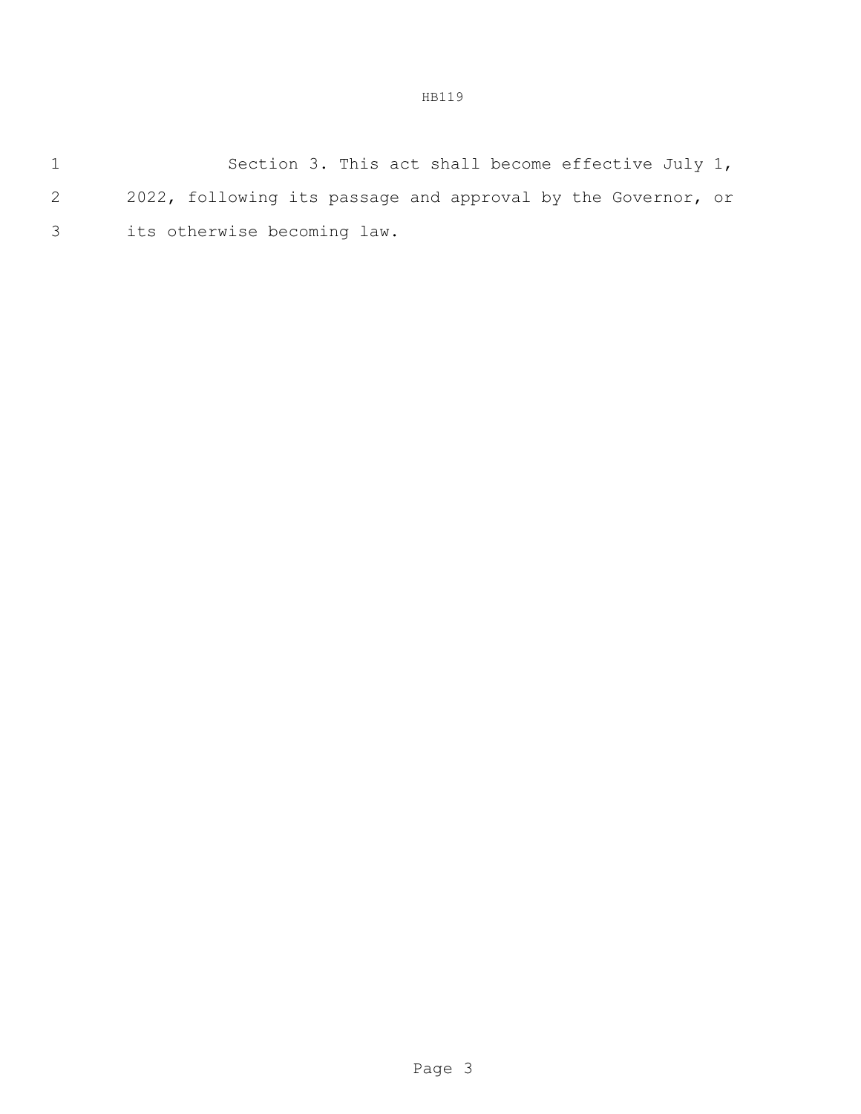1 Section 3. This act shall become effective July 1, 2 2022, following its passage and approval by the Governor, or 3 its otherwise becoming law.